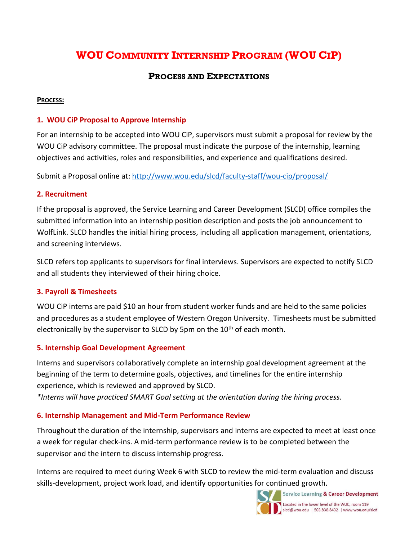# **WOU COMMUNITY INTERNSHIP PROGRAM (WOU CIP)**

# **PROCESS AND EXPECTATIONS**

#### **PROCESS:**

# **1. WOU CiP Proposal to Approve Internship**

For an internship to be accepted into WOU CiP, supervisors must submit a proposal for review by the WOU CiP advisory committee. The proposal must indicate the purpose of the internship, learning objectives and activities, roles and responsibilities, and experience and qualifications desired.

Submit a Proposal online at: <http://www.wou.edu/slcd/faculty-staff/wou-cip/proposal/>

# **2. Recruitment**

If the proposal is approved, the Service Learning and Career Development (SLCD) office compiles the submitted information into an internship position description and posts the job announcement to WolfLink. SLCD handles the initial hiring process, including all application management, orientations, and screening interviews.

SLCD refers top applicants to supervisors for final interviews. Supervisors are expected to notify SLCD and all students they interviewed of their hiring choice.

# **3. Payroll & Timesheets**

WOU CiP interns are paid \$10 an hour from student worker funds and are held to the same policies and procedures as a student employee of Western Oregon University. Timesheets must be submitted electronically by the supervisor to SLCD by 5pm on the 10<sup>th</sup> of each month.

# **5. Internship Goal Development Agreement**

Interns and supervisors collaboratively complete an internship goal development agreement at the beginning of the term to determine goals, objectives, and timelines for the entire internship experience, which is reviewed and approved by SLCD.

*\*Interns will have practiced SMART Goal setting at the orientation during the hiring process.*

# **6. Internship Management and Mid-Term Performance Review**

Throughout the duration of the internship, supervisors and interns are expected to meet at least once a week for regular check-ins. A mid-term performance review is to be completed between the supervisor and the intern to discuss internship progress.

Interns are required to meet during Week 6 with SLCD to review the mid-term evaluation and discuss skills-development, project work load, and identify opportunities for continued growth.



Service Learning & Career Development Located in the lower level of the WUC, room 119